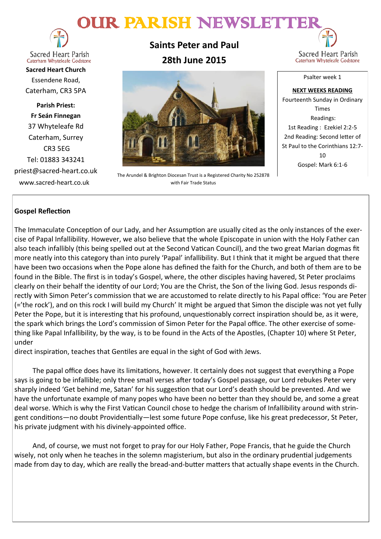# OUR PARISH NEWSLETTE



**Sacred Heart Parish** Caterham Whyteleafe Godstone

**Sacred Heart Church** Essendene Road, Caterham, CR3 5PA

**Parish Priest: Fr Seán Finnegan** 37 Whyteleafe Rd Caterham, Surrey CR3 5EG Tel: 01883 343241 priest@sacred-heart.co.uk www.sacred-heart.co.uk

**Saints Peter and Paul 28th June 2015**



The Arundel & Brighton Diocesan Trust is a Registered Charity No 252878 with Fair Trade Status

Sacred Heart Parish Caterham Whyteleafe Godstone

Psalter week 1

**NEXT WEEKS READING** Fourteenth Sunday in Ordinary Times Readings: 1st Reading : Ezekiel 2:2-5 2nd Reading: Second letter of St Paul to the Corinthians 12:7-  $1<sub>0</sub>$ Gospel: Mark 6:1-6

# **Gospel Reflection**

The Immaculate Conception of our Lady, and her Assumption are usually cited as the only instances of the exercise of Papal Infallibility. However, we also believe that the whole Episcopate in union with the Holy Father can also teach infallibly (this being spelled out at the Second Vatican Council), and the two great Marian dogmas fit more neatly into this category than into purely 'Papal' infallibility. But I think that it might be argued that there have been two occasions when the Pope alone has defined the faith for the Church, and both of them are to be found in the Bible. The first is in today's Gospel, where, the other disciples having havered, St Peter proclaims clearly on their behalf the identity of our Lord; You are the Christ, the Son of the living God. Jesus responds directly with Simon Peter's commission that we are accustomed to relate directly to his Papal office: 'You are Peter (='the rock'), and on this rock I will build my Church' It might be argued that Simon the disciple was not yet fully Peter the Pope, but it is interesting that his profound, unquestionably correct inspiration should be, as it were, the spark which brings the Lord's commission of Simon Peter for the Papal office. The other exercise of something like Papal Infallibility, by the way, is to be found in the Acts of the Apostles, (Chapter 10) where St Peter, under

direct inspiration, teaches that Gentiles are equal in the sight of God with Jews.

The papal office does have its limitations, however. It certainly does not suggest that everything a Pope says is going to be infallible; only three small verses after today's Gospel passage, our Lord rebukes Peter very sharply indeed 'Get behind me, Satan' for his suggestion that our Lord's death should be prevented. And we have the unfortunate example of many popes who have been no better than they should be, and some a great deal worse. Which is why the First Vatican Council chose to hedge the charism of Infallibility around with stringent conditions—no doubt Providentially—lest some future Pope confuse, like his great predecessor, St Peter, his private judgment with his divinely-appointed office.

And, of course, we must not forget to pray for our Holy Father, Pope Francis, that he guide the Church wisely, not only when he teaches in the solemn magisterium, but also in the ordinary prudential judgements made from day to day, which are really the bread-and-butter matters that actually shape events in the Church.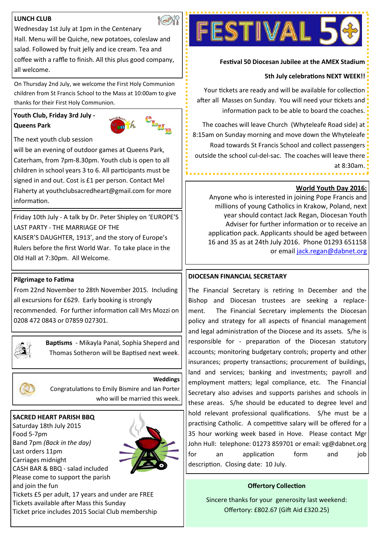# **LUNCH CLUB**

Wednesday 1st July at 1pm in the Centenary Hall. Menu will be Quiche, new potatoes, coleslaw and salad. Followed by fruit jelly and ice cream. Tea and coffee with a raffle to finish. All this plus good company, all welcome.

On Thursday 2nd July, we welcome the First Holy Communion children from St Francis School to the Mass at 10:00am to give thanks for their First Holy Communion.

# **Youth Club, Friday 3rd July - Queens Park**



### The next youth club session

will be an evening of outdoor games at Queens Park, Caterham, from 7pm-8.30pm. Youth club is open to all children in school years 3 to 6. All participants must be signed in and out. Cost is £1 per person. Contact Mel Flaherty at youthclubsacredheart@gmail.com for more information.

Friday 10th July - A talk by Dr. Peter Shipley on 'EUROPE'S LAST PARTY - THE MARRIAGE OF THE KAISER'S DAUGHTER, 1913', and the story of Europe's Rulers before the first World War. To take place in the Old Hall at 7:30pm. All Welcome.

# **Pilgrimage to Fatima**

From 22nd November to 28th November 2015. Including all excursions for £629. Early booking is strongly recommended. For further information call Mrs Mozzi on 0208 472 0843 or 07859 027301.



**Baptisms** - Mikayla Panal, Sophia Sheperd and Thomas Sotheron will be Baptised next week.

#### **Weddings**

Congratulations to Emily Bismire and Ian Porter who will be married this week.

# **SACRED HEART PARISH BBQ**

Saturday 18th July 2015 Food 5-7pm Band 7pm *(Back in the day)* Last orders 11pm Carriages midnight CASH BAR & BBQ - salad included Please come to support the parish and join the fun Tickets £5 per adult, 17 years and under are FREE Tickets available after Mass this Sunday Ticket price includes 2015 Social Club membership





### **Festival 50 Diocesan Jubilee at the AMEX Stadium**

#### **5th July celebrations NEXT WEEK!!**

Your tickets are ready and will be available for collection after all Masses on Sunday. You will need your tickets and information pack to be able to board the coaches.

The coaches will leave Church (Whyteleafe Road side) at 8:15am on Sunday morning and move down the Whyteleafe Road towards St Francis School and collect passengers outside the school cul-del-sac. The coaches will leave there at 8:30am.

#### **World Youth Day 2016:**

Anyone who is interested in joining Pope Francis and millions of young Catholics in Krakow, Poland, next year should contact Jack Regan, Diocesan Youth Adviser for further information or to receive an application pack. Applicants should be aged between 16 and 35 as at 24th July 2016. Phone 01293 651158 or email [jack.regan@dabnet.org](mailto:jack.regan@dabnet.org)

#### **DIOCESAN FINANCIAL SECRETARY**

The Financial Secretary is retiring In December and the Bishop and Diocesan trustees are seeking a replacement. The Financial Secretary implements the Diocesan policy and strategy for all aspects of financial management and legal administration of the Diocese and its assets. S/he is responsible for - preparation of the Diocesan statutory accounts; monitoring budgetary controls; property and other insurances; property transactions; procurement of buildings, land and services; banking and investments; payroll and employment matters; legal compliance, etc. The Financial Secretary also advises and supports parishes and schools in these areas. S/he should be educated to degree level and hold relevant professional qualifications. S/he must be a practising Catholic. A competitive salary will be offered for a 35 hour working week based in Hove. Please contact Mgr John Hull: telephone: 01273 859701 or email: vg@dabnet.org for an application form and job description. Closing date: 10 July.

#### **Offertory Collection**

Sincere thanks for your generosity last weekend: Offertory: £802.67 (Gift Aid £320.25)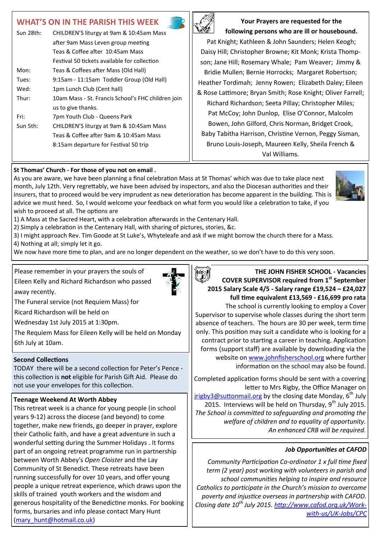# **WHAT'S ON IN THE PARISH THIS WEEK**

| Sun 28th: | CHILDREN'S liturgy at 9am & 10:45am Mass           |  |
|-----------|----------------------------------------------------|--|
|           | after 9am Mass Leven group meeting                 |  |
|           | Teas & Coffee after 10:45am Mass                   |  |
|           | Festival 50 tickets available for collection       |  |
| Mon:      | Teas & Coffees after Mass (Old Hall)               |  |
| Tues:     | 9:15am - 11:15am Toddler Group (Old Hall)          |  |
| Wed:      | 1pm Lunch Club (Cent hall)                         |  |
| Thur:     | 10am Mass - St. Francis School's FHC children join |  |
|           | us to give thanks.                                 |  |
| Fri:      | 7pm Youth Club - Queens Park                       |  |
| Sun 5th:  | CHILDREN'S liturgy at 9am & 10:45am Mass           |  |
|           | Teas & Coffee after 9am & 10:45am Mass             |  |
|           | 8:15am departure for Festival 50 trip              |  |
|           |                                                    |  |

# **Your Prayers are requested for the following persons who are ill or housebound.**

Pat Knight; Kathleen & John Saunders; Helen Keogh; Daisy Hill; Christopher Browne; Kit Monk; Krista Thompson; Jane Hill; Rosemary Whale; Pam Weaver; Jimmy & Bridie Mullen; Bernie Horrocks; Margaret Robertson; Heather Tordimah; Jenny Rowen; Elizabeth Daley; Eileen & Rose Lattimore; Bryan Smith; Rose Knight; Oliver Farrell; Richard Richardson; Seeta Pillay; Christopher Miles; Pat McCoy; John Dunlop, Elise O'Connor, Malcolm Bowen, John Gilford, Chris Norman, Bridget Crook, Baby Tabitha Harrison, Christine Vernon, Peggy Sisman, Bruno Louis-Joseph, Maureen Kelly, Sheila French & Val Williams.

## **St Thomas' Church - For those of you not on email .**

As you are aware, we have been planning a final celebration Mass at St Thomas' which was due to take place next month, July 12th. Very regrettably, we have been advised by inspectors, and also the Diocesan authorities and their insurers, that to proceed would be very imprudent as new deterioration has become apparent in the building. This is advice we must heed. So, I would welcome your feedback on what form you would like a celebration to take, if you wish to proceed at all. The options are



1) A Mass at the Sacred Heart, with a celebration afterwards in the Centenary Hall.

2) Simply a celebration in the Centenary Hall, with sharing of pictures, stories, &c.

3) I might approach Rev. Tim Goode at St Luke's, Whyteleafe and ask if we might borrow the church there for a Mass.

4) Nothing at all; simply let it go.

We now have more time to plan, and are no longer dependent on the weather, so we don't have to do this very soon.

Please remember in your prayers the souls of Eileen Kelly and Richard Richardson who passed away recently.

The Funeral service (not Requiem Mass) for

Ricard Richardson will be held on

Wednesday 1st July 2015 at 1:30pm.

The Requiem Mass for Eileen Kelly will be held on Monday 6th July at 10am.

### **Second Collections**

TODAY there will be a second collection for Peter's Pence this collection is **not** eligible for Parish Gift Aid. Please do not use your envelopes for this collection.

### **Teenage Weekend At Worth Abbey**

This retreat week is a chance for young people (in school years 9-12) across the diocese (and beyond) to come together, make new friends, go deeper in prayer, explore their Catholic faith, and have a great adventure in such a wonderful setting during the Summer Holidays . It forms part of an ongoing retreat programme run in partnership between Worth Abbey's *Open Cloister* and the Lay Community of St Benedict. These retreats have been running successfully for over 10 years, and offer young people a unique retreat experience, which draws upon the skills of trained youth workers and the wisdom and generous hospitality of the Benedictine monks. For booking forms, bursaries and info please contact Mary Hunt ([mary\\_hunt@hotmail.co.uk\)](mailto:mary_hunt@hotmail.co.uk)



# **THE JOHN FISHER SCHOOL - Vacancies COVER SUPERVISOR required from 1st September 2015 Salary Scale 4/5 - Salary range £19,524 – £24,027 full time equivalent £13,569 - £16,699 pro rata**

The school is currently looking to employ a Cover Supervisor to supervise whole classes during the short term absence of teachers. The hours are 30 per week, term time only. This position may suit a candidate who is looking for a contract prior to starting a career in teaching. Application forms (support staff) are available by downloading via the website on [www.johnfisherschool.org](http://www.johnfisherschool.org) where further information on the school may also be found.

Completed application forms should be sent with a covering letter to Mrs Rigby, the Office Manager on [jrigby3@suttonmail.org](mailto:jrigby3@suttonmail.org) by the closing date Monday,  $6<sup>th</sup>$  July 2015. Interviews will be held on Thursday,  $9^{th}$  July 2015. *The School is committed to safeguarding and promoting the welfare of children and to equality of opportunity. An enhanced CRB will be required.*

# *Job Opportunities at CAFOD*

*Community Participation Co-ordinator 1 x full time fixed term (2 year) post working with volunteers in parish and school communities helping to inspire and resource Catholics to participate in the Church's mission to overcome poverty and injustice overseas in partnership with CAFOD. Closing date 10th July 2015. [http://www.cafod.org.uk/Work](http://www.cafod.org.uk/Work-with-us/UK-Jobs/CPC)with-us/UK-[Jobs/CPC](http://www.cafod.org.uk/Work-with-us/UK-Jobs/CPC)*